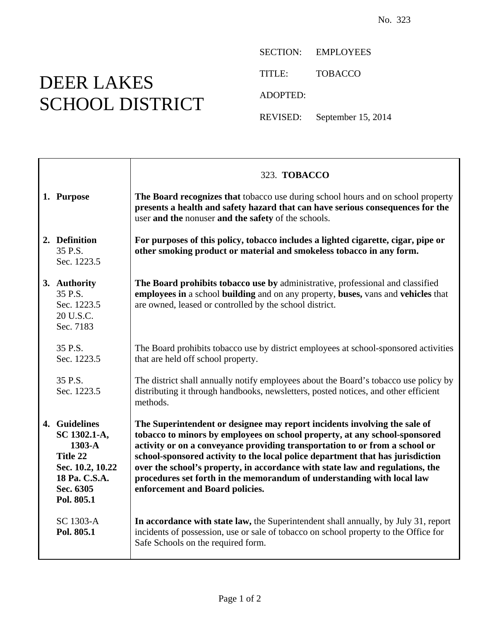## DEER LAKES SCHOOL DISTRICT

┱

 $\mathsf{r}$ 

SECTION: EMPLOYEES TITLE: TOBACCO ADOPTED:

REVISED: September 15, 2014

|                                                                                                                       | 323. TOBACCO                                                                                                                                                                                                                                                                                                                                                                                                                                                                                                           |
|-----------------------------------------------------------------------------------------------------------------------|------------------------------------------------------------------------------------------------------------------------------------------------------------------------------------------------------------------------------------------------------------------------------------------------------------------------------------------------------------------------------------------------------------------------------------------------------------------------------------------------------------------------|
| 1. Purpose                                                                                                            | The Board recognizes that tobacco use during school hours and on school property<br>presents a health and safety hazard that can have serious consequences for the<br>user and the nonuser and the safety of the schools.                                                                                                                                                                                                                                                                                              |
| 2. Definition<br>35 P.S.<br>Sec. 1223.5                                                                               | For purposes of this policy, tobacco includes a lighted cigarette, cigar, pipe or<br>other smoking product or material and smokeless tobacco in any form.                                                                                                                                                                                                                                                                                                                                                              |
| 3. Authority<br>35 P.S.<br>Sec. 1223.5<br>20 U.S.C.<br>Sec. 7183                                                      | The Board prohibits tobacco use by administrative, professional and classified<br>employees in a school building and on any property, buses, vans and vehicles that<br>are owned, leased or controlled by the school district.                                                                                                                                                                                                                                                                                         |
| 35 P.S.<br>Sec. 1223.5                                                                                                | The Board prohibits tobacco use by district employees at school-sponsored activities<br>that are held off school property.                                                                                                                                                                                                                                                                                                                                                                                             |
| 35 P.S.<br>Sec. 1223.5                                                                                                | The district shall annually notify employees about the Board's tobacco use policy by<br>distributing it through handbooks, newsletters, posted notices, and other efficient<br>methods.                                                                                                                                                                                                                                                                                                                                |
| 4. Guidelines<br>SC 1302.1-A,<br>$1303-A$<br>Title 22<br>Sec. 10.2, 10.22<br>18 Pa. C.S.A.<br>Sec. 6305<br>Pol. 805.1 | The Superintendent or designee may report incidents involving the sale of<br>tobacco to minors by employees on school property, at any school-sponsored<br>activity or on a conveyance providing transportation to or from a school or<br>school-sponsored activity to the local police department that has jurisdiction<br>over the school's property, in accordance with state law and regulations, the<br>procedures set forth in the memorandum of understanding with local law<br>enforcement and Board policies. |
| SC 1303-A<br>Pol. 805.1                                                                                               | In accordance with state law, the Superintendent shall annually, by July 31, report<br>incidents of possession, use or sale of tobacco on school property to the Office for<br>Safe Schools on the required form.                                                                                                                                                                                                                                                                                                      |